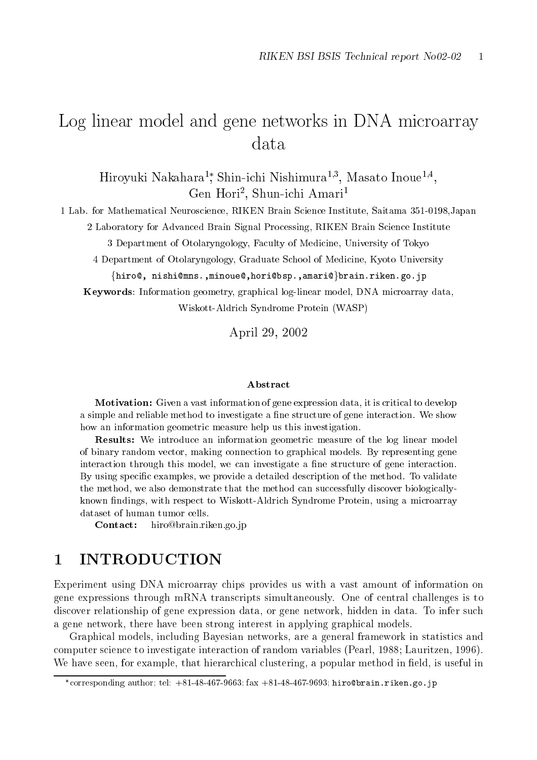# Log linear model and gene networks in DNA microarray data

Hiroyuki Nakahara-, Shin-ichi Nishimura->>, Masato Inoue->-, Gen Hori-, Shun-ichi Amari-

 Lab- for Mathematical Neuroscience RIKEN Brain Science Institute Saitama Japan Laboratory for Advanced Brain Signal Processing RIKEN Brain Science Institute

3 Department of Otolaryngology, Faculty of Medicine, University of Tokyo

4 Department of Otolaryngology, Graduate School of Medicine, Kyoto University

 $\{ {\tt hiro}$ @, nishi@mns.,minoue@,hori@bsp.,amari@}brain.riken.go.jp Keywords: Information geometry, graphical log-linear model, DNA microarray data,

Wiskott-Aldrich Syndrome Protein (WASP)

April 29, 2002

#### Abstract

**Motivation:** Given a vast information of gene expression data, it is critical to develop a simple and reliable method to investigate a ne structure of gene interaction- We show how an information geometric measure help us this investigation.

**Results:** We introduce an information geometric measure of the log linear model of binary random vector, making connections to graphical models-  $\mathcal{L}$  representing general models interaction through this model, we can investigate a fine structure of gene interaction. By using specic examples we provide a detailed description of the method- To validate the method we also demonstrate that the method can successfully discover biologically known findings, with respect to Wiskott-Aldrich Syndrome Protein, using a microarray dataset of human tumor cells.

riken-kan van die beskriuwende van die voormalige van die voormalige van die voormalige van die voormalige van

Experiment using DNA microarray chips provides us with a vast amount of information on gene expressions through mRNA transcripts simultaneously- One of central challenges is to discover relationship of gene expression data or gene network hidden in data- To infer such a gene network, there have been strong interest in applying graphical models.

Graphical models, including Bayesian networks, are a general framework in statistics and computer science to investigate interaction of random variables (Pearl, 1988; Lauritzen, 1996). we have seen for the distribution of the seed in the form the seed in popular method in the second in the second

corresponding author, tel.  $+81-48-40$  (-9003, Iax  $+81-48-40$  (-9093; hirowdrain, riken, go, 1p)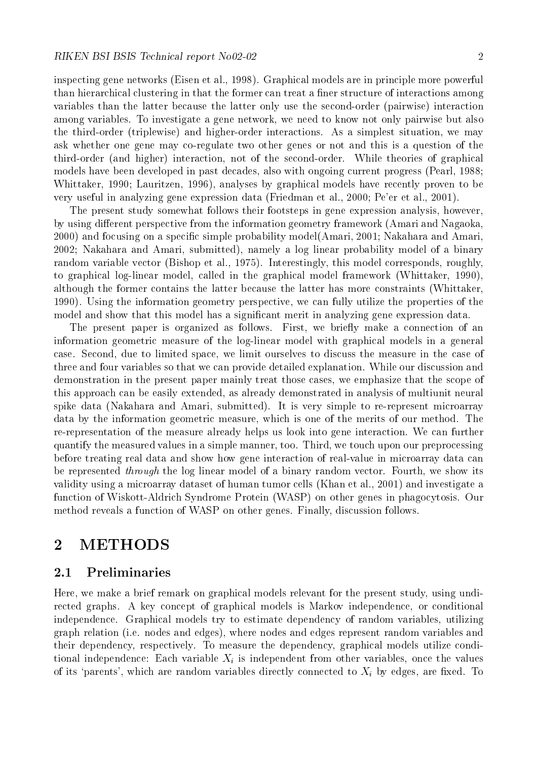inspecting general models et al-models are in principle models are in principle models powerful models are in  $\mathbf{h}$ variables than the latter because the latter only use the second-order (pairwise) interaction among variables-a richter and the network we need to know the second to know pairwise but also the contract of the there is a simple with a simple simple situation and higher interactions-we may be made the simple situation we ask whether one gene may co-regulate two other genes or not and this is a question of the third order and higher interaction not of the second  $\mathcal{W}$  . While the second ordermodels have been developed in past decades, also with ongoing current progress (Pearl, 1988; Whittaker, 1990; Lauritzen, 1996), analyses by graphical models have recently proven to be were an extreme the contract of the friends of the friends of all-sections are all the contract of the section of  $\mathcal{L}_\mathcal{P}$ 

The present study somewhat follows their footsteps in gene expression analysis, however, by using different perspective from the information geometry framework (Amari and Nagaoka, and focusing on a special contract on a special contract on a special contract on a special contract on a special contract on a special contract on a special contract on a special contract on a special contract on a specia 2002; Nakahara and Amari, submitted), namely a log linear probability model of a binary random variable vector Bishop et al-mandon variable vector Bishop et al-mandon variable vector and the set alto graphical log-linear model, called in the graphical model framework (Whittaker, 1990), although the former contains the latter because the latter has more constraints Whittaker - Using the information geometry perspective we can fully utilize the properties of the model and show that this model has a signi cant merit in analyzing gene expression data-

The present paper is organized as follows- First we briey make a connection of an information geometric measure of the log-linear model with graphical models in a general case- Second due to limited space we limit ourselves to discuss the measure in the case of three and four variables so that we can provide the detailed explanation- to the detailed explanationdemonstration in the present paper mainly treat those cases, we emphasize that the scope of this approach can be easily extended, as already demonstrated in analysis of multiunit neural spike data Nakahara and Amari submitted - It is very simple to rerepresent microarray data by the information geometric measure which is one of the measure which is one of the methodrerepresentation of the measure already helps us look into gene interaction- We can further quantify the measured values in a simple manner to a simple manner to a simple manner to the preprocessing the before treating real data and show how gene interaction of real-value in microarray data can be represented through the log linear model of a binary random vector- Fourth we show its walidity using a microarray dataset of human tumor cells Khan et alfunction of WiskottAldrich Syndrome Protein WASP on other genes in phagocytosis- Our method reveals a function of  $\mathbf{F}$ 

#### $\bf{2}$ METHODS

### Preliminaries

Here, we make a brief remark on graphical models relevant for the present study, using undirected graphs- A key concept of graphical models is Markov independence or conditional independence- Graphical models try to estimate dependency of random variables utilizing graph relation i-e- nodes and edges where nodes and edges represent random variables and their dependency, the dependency and dependence in productively graphical models utilize conditions tional independence: Each variable  $X_i$  is independent from other variables, once the values of its parents , which are random variables ancestly connected to xil by eaguly are micuti for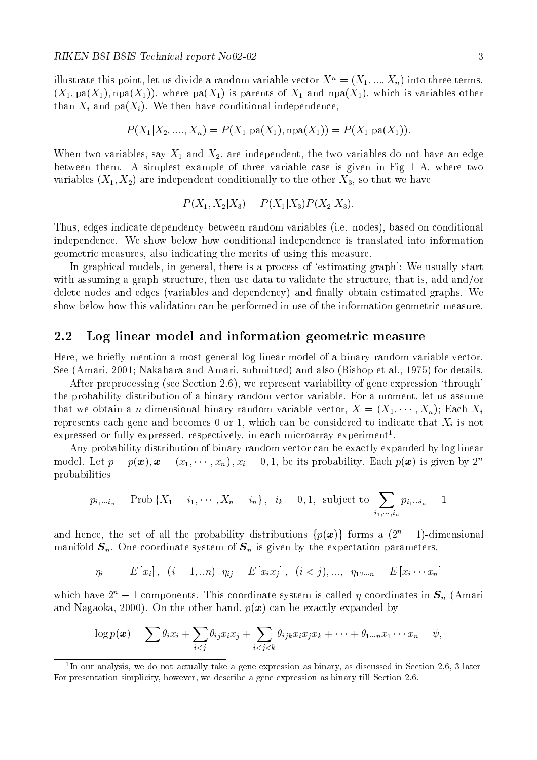illustrate this point, let us divide a random variable vector  $X^+ = (X_1, ..., X_n)$  into three terms,  $(X_1, pa(X_1), npa(X_1))$ , where  $pa(X_1)$  is parents of  $X_1$  and  $npa(X_1)$ , which is variables other than the  $\mu$  and all  $\mu$  and  $\mu$  in the condition density of the conditional independence of the conditional independence of

$$
P(X_1|X_2, ..., X_n) = P(X_1|pa(X_1), npa(X_1)) = P(X_1|pa(X_1)).
$$

when two variables say in the two variables directions are two variables do not have an edge between them- A simplest example of three variable case is given in Fig A where two variables  $\{X_1, X_2\}$  are independent conditionally to the other  $X_3$ , so that we have

$$
P(X_1, X_2 | X_3) = P(X_1 | X_3) P(X_2 | X_3).
$$

Thus edges indicate dependency between random variables i-e- nodes based on conditional independence- We show below how conditional independence is translated into information geometric measures, also indicating the merits of using this measure.

In graphical models, in general, there is a process of 'estimating graph': We usually start with assuming a graph structure, then use data to validate the structure, that is, add and/or delete nodes and edges variables and dependency and nally obtain estimated graphs- We show below how this validation can be performed in use of the information geometric measure-

#### Log linear model and information geometric measure

Here, we briefly mention a most general log linear model of a binary random variable vector. see Amarine, weer and also Bishop et al. (1999) and also Bishop et al. (1999) and also Bishop et al-marine and

after preprocessing see Section - Section - Septimates and all present variables through the section the probability distribution of a binary random vector variable- For a moment let us assume that we obtain a *n*-dimensional binary random variable vector,  $X = (X_1, \dots, X_n)$ ; Each  $X_i$ represents each gene and becomes 0 or 1, which can be considered to indicate that  $X_i$  is not expressed or fully expressed, respectively, in each microarray experiment .

Any probability distribution of binary random vector can be exactly expanded by log linear model. Let  $p = p(\boldsymbol{x}), \boldsymbol{x} = (x_1, \cdots, x_n)$ ,  $x_i = 0, 1$ , be its probability. Each  $p(\boldsymbol{x})$  is given by  $2^{\alpha}$ probabilities

$$
p_{i_1\cdots i_n} = \text{Prob}\left\{X_1 = i_1, \cdots, X_n = i_n\right\}, \ \ i_k = 0, 1, \ \text{subject to} \ \sum_{i_1, \cdots, i_n} p_{i_1\cdots i_n} = 1
$$

and hence, the set of all the probability distributions  $\{p(\boldsymbol{x})\}$  forms a  $(2^n-1)$ -dimensional manifold Sn-Sn-Sn-Sn-Sn-Sn-Sn-Sn-Sn-Sn is given by the expectation parameters parameters parameters in the expectation parameters of the expectation parameters of the expectation parameters in the expectation parameters of

$$
\eta_i = E[x_i], \quad (i = 1, \ldots n) \quad \eta_{ij} = E[x_i x_j], \quad (i < j), \ldots, \quad \eta_{12 \cdots n} = E[x_i \cdots x_n]
$$

which have  $z^2 - 1$  components. This coordinate system is called  $\eta$ -coordinates in  $S_n$  (Amari and  $\alpha$  is a particle of the other hand particle  $\alpha$  , and the other hand particle  $\alpha$  is a particle of  $\alpha$ 

$$
\log p(\boldsymbol{x}) = \sum \theta_i x_i + \sum_{i < j} \theta_{ij} x_i x_j + \sum_{i < j < k} \theta_{ijk} x_i x_j x_k + \cdots + \theta_{1 \cdots n} x_1 \cdots x_n - \psi,
$$

<sup>-</sup>in our analysis, we do not actually take a gene expression as binary, as discussed in Section 2.0, 5 fater. For presentation simplicity
 however
 we describe a gene expression as binary till Section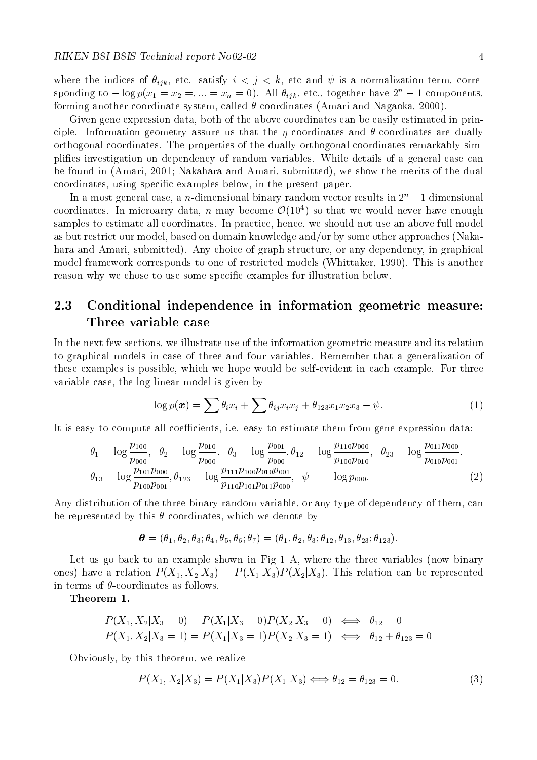where the indices of  $\eta_{k}$ , etc. Satisfy  $\epsilon \rightarrow j$  ,  $\epsilon$  a, or and  $\varphi$  is a normalization term, corre sponding to  $-\log p(x_1 = x_2 = \ldots = x_n = 0)$ . All  $\sigma_{iik}$ , etc., together have  $z^2 - 1$  components, forming another coordinate system, called  $\theta$ -coordinates (Amari and Nagaoka, 2000).

Given gene expression data, both of the above coordinates can be easily estimated in principle- Information geometry assure us that the coordinates and coordinates are dually orthogonal coordinates- The properties of the dually orthogonal coordinates remarkably sim pli es investigation on dependency of random variables- While details of a general case can be found in (Amari, 2001; Nakahara and Amari, submitted), we show the merits of the dual coordinates using speci c examples below in the present paper-

In a most general case, a  $n$ -dimensional binary random vector results in  $Z^\ast=1$  dimensional coordinates. In microarry data, n may become  $\mathcal{O}(10^4)$  so that we would never have enough samples to estimate all coordinates and above functions and practice in practice we should not use an above full as but restrict our model, based on domain knowledge and/or by some other approaches (Nakahara and Amari submitted - Any choice of graph structure or any dependency in graphical model framework corresponds to one of restricted models white and restricted models White and the stricted models white reason why we chose to use some speci c examples for illustration below-

# Conditional independence in information geometric measure

In the next few sections, we illustrate use of the information geometric measure and its relation to graphical models in case of three and four variables- Remember that a generalization of these examples is possible which we hope would be selfevident in each example- For three variable case, the log linear model is given by

$$
\log p(\boldsymbol{x}) = \sum \theta_i x_i + \sum \theta_{ij} x_i x_j + \theta_{123} x_1 x_2 x_3 - \psi. \tag{1}
$$

e-coecients i-computer i-coecients i-coecients i-coecients i-coecients i-coecients i-coecients i-coecients i-c

$$
\theta_1 = \log \frac{p_{100}}{p_{000}}, \quad \theta_2 = \log \frac{p_{010}}{p_{000}}, \quad \theta_3 = \log \frac{p_{001}}{p_{000}}, \quad \theta_{12} = \log \frac{p_{110}p_{000}}{p_{100}p_{010}}, \quad \theta_{23} = \log \frac{p_{011}p_{000}}{p_{010}p_{001}},
$$
\n
$$
\theta_{13} = \log \frac{p_{101}p_{000}}{p_{100}p_{001}}, \quad \theta_{123} = \log \frac{p_{111}p_{100}p_{010}p_{001}}{p_{110}p_{101}p_{011}p_{000}}, \quad \psi = -\log p_{000}.
$$
\n(2)

Any distribution of the three binary random variable, or any type of dependency of them, can be represented by this  $\theta$ -coordinates, which we denote by

$$
\boldsymbol{\theta} = (\theta_1, \theta_2, \theta_3; \theta_4, \theta_5, \theta_6; \theta_7) = (\theta_1, \theta_2, \theta_3; \theta_{12}, \theta_{13}, \theta_{23}; \theta_{123}).
$$

Let us go back to an example shown in Fig  $1 \,$  A, where the three variables (now binary ones) have a relation  $P(X_1, X_2 | X_3) = P(X_1 | X_3) P(X_2 | X_3)$ . This relation can be represented in terms of  $\theta$ -coordinates as follows.

Theorem 1.

$$
P(X_1, X_2 | X_3 = 0) = P(X_1 | X_3 = 0)P(X_2 | X_3 = 0) \iff \theta_{12} = 0
$$
  

$$
P(X_1, X_2 | X_3 = 1) = P(X_1 | X_3 = 1)P(X_2 | X_3 = 1) \iff \theta_{12} + \theta_{123} = 0
$$

Obviously by this theorem we realize

$$
P(X_1, X_2 | X_3) = P(X_1 | X_3) P(X_1 | X_3) \iff \theta_{12} = \theta_{123} = 0. \tag{3}
$$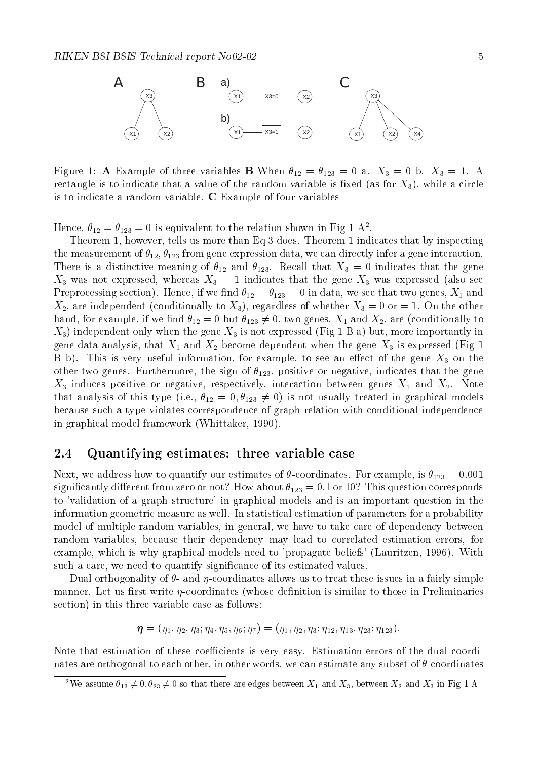

Figure A Example of three variables B When - - a- X b- X - A rectangle is to indicate that a value of the random variable is measured in the random  $\{m\}$  while  $\alpha$  circle is to indicate a random variable- C Example of four variables

Hence,  $\sigma_{12} = \sigma_{123} = 0$  is equivalent to the relation shown in Fig 1 A.

Theorem however tells us more than Eq does- Theorem indicates that by inspecting  $\mu$  incasurement or  $\sigma_{12}, \sigma_{123}$  from gene expression data, we can directly infer a gene interaction.  $\text{F}_{\text{max}}$  is a distinctive meaning of  $\pi_{L}$  and  $\pi_{L}$  . There is a distribution that  $\pi_{L}$  $X_3$  was not expressed, whereas  $X_3 = 1$  indicates that the gene  $X_3$  was expressed (also see  $\mathsf{P}$  -reprocessing section). If we make  $\mathsf{P}$  and  $\mathsf{P}$  and  $\mathsf{P}$  and  $\mathsf{P}$  and  $\mathsf{P}$  and  $\mathsf{P}$  and  $\mathsf{P}$ are independent conditions of the other conditions of whether  $\alpha$  regardless of whether  $\alpha$  are  $\alpha$  or the other conditions of  $\alpha$ hand, for example, if we find  $\theta_{12}=0$  but  $\theta_{123}\neq 0$ , two genes,  $X_1$  and  $X_2$ , are (conditionally to  $X_3$ ) independent only when the gene  $X_3$  is not expressed (Fig 1 B a) but, more importantly in  $\beta$  and dependent  $\alpha$  and  $\alpha$  and  $\alpha$   $\alpha$  is expressed from the generation of  $\beta$  is expressed  $\alpha$  is  $\beta$  is expressed from the  $\beta$  $\mathcal{L}$  by the section for the section for the section for the section of the  $\mathcal{Q}_{\mathcal{L}}$  on the section of the general section of the general section of the general section of the section of the section of the sectio othermore two genes-the sign of - negative indicates the sign of - negative indicates the genes-X induces positive or negative respectively interaction between genes X and X-- Note that analysis of this type (i.e.,  $\theta_{12} = 0, \theta_{123} \neq 0$ ) is not usually treated in graphical models because such a type violates correspondence of graph relation with conditional independence in graphical model framework (Whittaker, 1990).

#### Quantifying estimates: three variable case

next we are to the form to quantify our estimates of the communication of the coordinate  $\mathbb{P}^1$  of  $\mathbb{P}^1$ significantly different from the from the from the corresponds  $\{a_i\}$  , where the from about the from the from the from the from the from the from the from the from the from the from the from the from the from the from t to 'validation of a graph structure' in graphical models and is an important question in the information geometric measure as well-discussed and a parameters for parameters for parameters  $\mu$ model of multiple random variables, in general, we have to take care of dependency between random variables, because their dependency may lead to correlated estimation errors, for example which is why graphical models need to propagate beliefs Lauritzen  $\mathcal{A}$  and  $\mathcal{A}$ such a care we need to quantify significance of its estimated values-

Dual orthogonality of  $\theta$ - and  $\eta$ -coordinates allows us to treat these issues in a fairly simple rst write was an interest with the momental process with the computer of the similar to the computer of the co section) in this three variable case as follows:

$$
\boldsymbol{\eta} = (\eta_1, \eta_2, \eta_3; \eta_4, \eta_5, \eta_6; \eta_7) = (\eta_1, \eta_2, \eta_3; \eta_{12}, \eta_{13}, \eta_{23}; \eta_{123}).
$$

Note that estimation of these coecients is very easy- Estimation errors of the dual coordi nates are orthogonal to each other, in other words, we can estimate any subset of  $\theta$ -coordinates

<sup>-</sup> we assume  $\sigma_{13}\neq 0, \sigma_{23}\neq 0$  so that there are edges between  $A_1$  and  $A_3,$  between  $A_2$  and  $A_3$  in Fig 1 A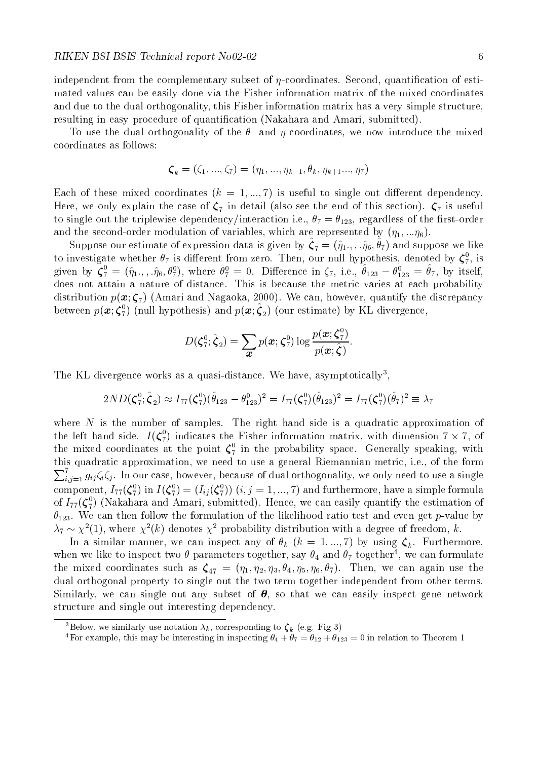independent including complementary subset of it coordinateses. Occomple dues the contract of estimates that t mated values can be easily done via the Fisher information matrix of the mixed coordinates and due to the dual orthogonality, this Fisher information matrix has a very simple structure. resulting in easy procedure of quantities in procedure of and Amari submitted and Amari submitted  $\mathcal{C}$ 

To use the dual orthogonality of the  $\theta$ - and  $\eta$ -coordinates, we now introduce the mixed coordinates as follows

$$
\boldsymbol{\zeta}_{k}=(\zeta_{1},...,\zeta_{7})=(\eta_{1},...,\eta_{k-1},\theta_{k},\eta_{k+1}...,\eta_{7})
$$

 $\text{Eavn}$  of these mixed coordinates ( $\kappa = 1,...,T$ ) is useful to single out different dependency. Here we only the case of the case of  $\bullet$  is determined (this section of the end of this section).  $\bullet$  is useful the to single out the triples dependency (  $\sim$  the triples of the single  $\sim$  120) i-computers of the first of the and the second-order modulation or variables, which are represented by  $(\eta_1,...\eta_6)$ .

Suppose our estimate of expression data is given by  $\zeta_7 = (q_1, \ldots, q_6, v_7)$  and suppose we like to investigate whether  $\theta_7$  is different from zero. Then, our null hypothesis, denoted by  $\boldsymbol{\zeta}_{7},$  is given by  $\zeta_7 = (\eta_1, \eta_6, \theta_7^*)$ , where  $\theta_7^* = 0$ . Difference in  $\zeta_7$ , i.e.,  $\theta_{123} - \theta_{123}^* = \theta_7$ , by itself, does not attain a nature of distance- This is because the metric varies at each probability distribution  $\mathbf{r}$  (  $\mathbf{v}$  ) and  $\mathbf{v}$  and  $\mathbf{v}$  are discrepancy the discrepancy of  $\mathbf{r}$  and  $\mathbf{v}$  and  $\mathbf{v}$  and  $\mathbf{v}$ between  $p(x; \zeta_7)$  (null hypothesis) and  $p(x; \zeta_2)$  (our estimate) by KL divergence,

$$
D(\boldsymbol{\zeta}_7^0;\hat{\boldsymbol{\zeta}}_2) = \sum_{\boldsymbol{x}} p(\boldsymbol{x};\boldsymbol{\zeta}_7^0) \log \frac{p(\boldsymbol{x};\boldsymbol{\zeta}_7^0)}{p(\boldsymbol{x};\hat{\boldsymbol{\zeta}})}.
$$

The KL divergence works as a quasi-distance. We have, asymptotically the  $\overline{\phantom{a}}$ 

$$
2ND(\boldsymbol{\zeta}_7^0;\hat{\boldsymbol{\zeta}}_2) \approx I_{77}(\boldsymbol{\zeta}_7^0)(\hat{\theta}_{123} - \theta_{123}^0)^2 = I_{77}(\boldsymbol{\zeta}_7^0)(\hat{\theta}_{123})^2 = I_{77}(\boldsymbol{\zeta}_7^0)(\hat{\theta}_7)^2 \equiv \lambda_7
$$

where the right formula is a quadratic structure is a quadratic approximation of plant  $\alpha$ the left hand side.  $I(\zeta_7^*)$  indicates the Fisher information matrix, with dimension  $7 \times 7$ , of the mixed coordinates at the point  $\zeta_7^+$  in the probability space. Generally speaking, with this quadratic approximation we need to use a general Riemannian metric i-e- of the form  $\sum_{i,j=1}^{i} g_{ij} \zeta_i \zeta_j$ . In our case, however, because of dual orthogonality, we only need to use a single  $\sim$  1.4  $\sim$ component,  $I_{77}(\zeta_7^+)$  in  $I(\zeta_7^+) = (I_{ij}(\zeta_7^+)) \ (i,j=1,...,l)$  and furthermore, have a simple formula of  $I_{77}(\zeta_7)$  (Nakahara and Amari, submitted). Hence, we can easily quantify the estimation of . The can there for the follow the follow the follow the follow the likelihood  $\lambda$  is  $\lambda$  $\lambda_7 \sim \chi$  (1), where  $\chi$  (k) denotes  $\chi$  -probability distribution with a degree of freedom, k.

In a similar manner, we can inspect any or  $v_k$  ( $k = 1, ..., i$ ) by using  $\zeta_k$ . Turthermore, when we like to inspect two  $\sigma$  parameters together, say  $\sigma_4$  and  $\sigma_7$  together , we can formulate the mixed coordinates such as  $\zeta_{47} = (71, 72, 73, 04, 75, 76, 07)$ . Then, we can again use the dual orthogonal property to single out the two term together independent from other terms. Similarly, we can single out any subset of  $\theta$ , so that we can easily inspect gene network structure and single out interesting dependency-

<sup>-</sup> below, we similarly use notation  $\lambda_k$ , corresponding to  $\zeta_k$  (e.g. Fig 5)

For example, this may be interesting in inspecting  $\sigma_4 + \sigma_7 = \sigma_{12} + \sigma_{123} = 0$  in relation to Theorem 1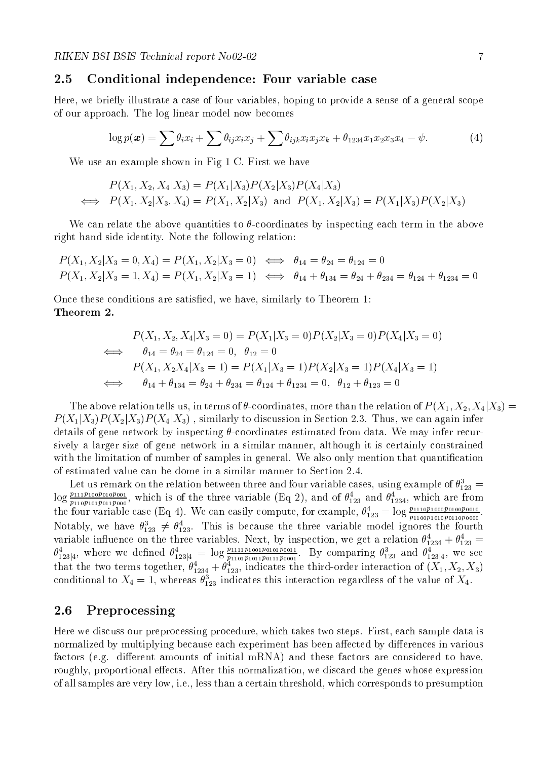#### Conditional independence: Four variable case

Here, we briefly illustrate a case of four variables, hoping to provide a sense of a general scope of our approaches model now become first model now and all all the components of the log line of the component

$$
\log p(\boldsymbol{x}) = \sum \theta_i x_i + \sum \theta_{ij} x_i x_j + \sum \theta_{ijk} x_i x_j x_k + \theta_{1234} x_1 x_2 x_3 x_4 - \psi. \tag{4}
$$

where  $\mathcal{L}$  is a constraint in Fig. , we have  $\mathcal{L}$  is the shown in Fig. , we have the same of  $\mathcal{L}$ 

$$
P(X_1, X_2, X_4 | X_3) = P(X_1 | X_3) P(X_2 | X_3) P(X_4 | X_3)
$$
  
\n
$$
\iff P(X_1, X_2 | X_3, X_4) = P(X_1, X_2 | X_3) \text{ and } P(X_1, X_2 | X_3) = P(X_1 | X_3) P(X_2 | X_3)
$$

We can relate the above quantities to  $\theta$ -coordinates by inspecting each term in the above right hand side identity- Note the following relation

$$
P(X_1, X_2 | X_3 = 0, X_4) = P(X_1, X_2 | X_3 = 0) \iff \theta_{14} = \theta_{24} = \theta_{124} = 0
$$
  

$$
P(X_1, X_2 | X_3 = 1, X_4) = P(X_1, X_2 | X_3 = 1) \iff \theta_{14} + \theta_{134} = \theta_{24} + \theta_{234} = \theta_{124} + \theta_{1234} = 0
$$

Once these conditions are satis ed we have similarly to Theorem Theorem 2.

$$
P(X_1, X_2, X_4 | X_3 = 0) = P(X_1 | X_3 = 0)P(X_2 | X_3 = 0)P(X_4 | X_3 = 0)
$$
  
\n
$$
\iff \theta_{14} = \theta_{24} = \theta_{124} = 0, \ \theta_{12} = 0
$$
  
\n
$$
P(X_1, X_2 X_4 | X_3 = 1) = P(X_1 | X_3 = 1)P(X_2 | X_3 = 1)P(X_4 | X_3 = 1)
$$
  
\n
$$
\iff \theta_{14} + \theta_{134} = \theta_{24} + \theta_{234} = \theta_{124} + \theta_{1234} = 0, \ \theta_{12} + \theta_{123} = 0
$$

The above relation tells us, in terms of  $\theta$ -coordinates, more than the relation of  $P(X_1,X_2,X_4|X_3)=0$  $P(X_1|X_3)P(X_2|X_3)P(X_4|X_3)$  , similarly to discussion in Section 2.3. Thus, we can again infer details of going may interest interpretaing a coordinate continuous means and in the may infer recover sively a larger size of gene network in a similar manner although it is certainly constrained with the distribution of number of samples in general-type with the general-type cation that quantized and the

Let us remarked on the relation between the relation between the four variable cases, where  $\sigma$  cases  $\Gamma$  and  $\Gamma$ Let us remark on the relation between three and four variable cases, using example of  $\theta_{123}^3$  =  $100 \frac{\mu_{\text{max}}}{\sigma_{\text{max}}}$ . Whi  $p_{110}p_{101}p_{011}p_{000}$ , which is of the three variable (Eq 2), and of  $\sigma_{123}$  and  $\sigma_{1234}$ , which are from the four variable case (Eq 4). We can easily compute, for example,  $\theta_{123}^2 = \log_{\frac{p_1(p_1p_2)}{p_1(p_0p_1p_0p_0)}}$  $p_{1100}p_{1010}p_{0110}p_{0000}$  . Notably, we have  $\theta_{123}^3 \neq \theta_{123}^4$ . This i  $T_{\rm th}$  is because the three variable model is because the fourth model ignores the fourth model ignores the fourth variable inhuence on the three variables. Next, by inspection, we get a relation  $\sigma_{1234}^2 + \sigma_{123}^2 =$  $\theta_{123|4}^1$ , where we defined  $\theta_{123|4}^1 = \log \frac{P_{1111}^1 P_{1001}^1 P_{0101}^1}{p_{1101}^1 p_{101}^1 p_{0101}^1 p_{0001}^1}$ . By  $\frac{p_{1101}p_{1011}p_{0111}p_{0001}}{p_{1101}p_{1011}p_{0001}}$ . By comparing  $\theta_{123}^{\star}$  and  $\theta_{123|4}^{\star}$ , we see that the two terms together,  $\theta_{1234}^{} + \theta_{123}^{}$ , indicates the third-order interaction of  $(\Lambda_1,\Lambda_2,\Lambda_3)$ conditional to  $A_4 = 1$ , whereas  $\sigma_{123}$  indicates this interaction regardless of the value of  $A_4$ .

### Preprocessing

Here we discuss our preprocessing procedure which takes two steps- First each sample data is normalized by multiplying because each experiment has been affected by differences in various factors e-dierent amounts of initial matrix of initial matrix of initial matrix  $\mathbf{A}$ roughly proportional eects- After this normalization we discard the genes whose expression e- all samples are very low i-many low i-many the certain threshold which corresponds to presumption to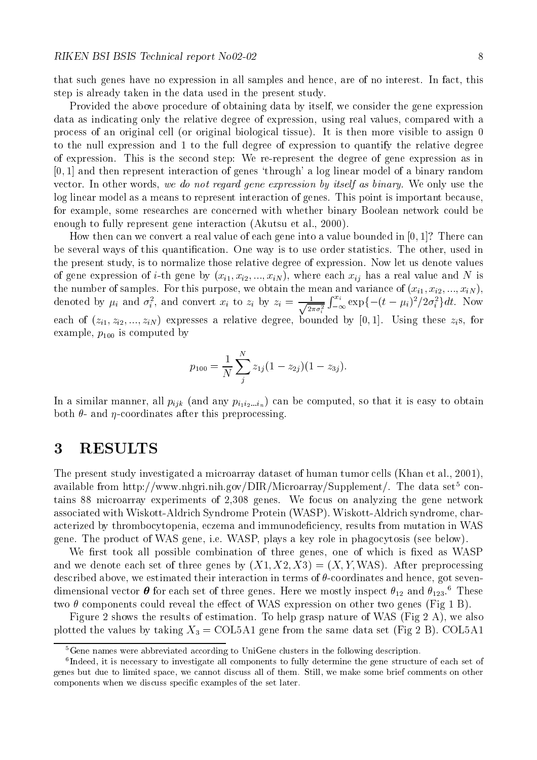that such genes have no expression in all samples are of no interest, where the no interest are noted, this ca step is already taken in the data used in the present study-

Provided the above procedure of obtaining data by itself, we consider the gene expression data as indicating only the relative degree of expression, using real values, compared with a process of an original cell original biological tissue  $\alpha$  is the more visible to assign  $\circ$ to the null expression and 1 to the full degree of expression to quantify the relative degree of expression- This is the second step We rerepresent the degree of gene expression as in  $[0, 1]$  and then represent interaction of genes 'through' a log linear model of a binary random vector-bard start-we do not we do not regard gene expression by itself as bitted you are samely were there we log linear model as a means to represent interaction of genes- This point is important because for example, some researches are concerned with whether binary Boolean network could be enough to fully represent gene interaction Akutsu et al- 

 -

How then can we convert a real value of each gene into a value bounded in  $[0, 1]$ ? There can of several ways of this quantities are very is to use order statistics- from a statistical statisticsthe present study is to normalize those relative degree of expression- Now let us denote values of gene expression of  $i$ -th gene by  $\{x_i\}, x_i, z_i, ..., x_i, y_j, w$  where each  $x_{ij}$  has a real value and TV is the number of samples. For this purpose, we obtain the mean and variance of  $(x_{i1}, x_{i2}, ..., x_{iN})$ , denoted by  $\mu_i$  and  $\sigma_i^2$ , and convert  $x_i$  to  $z_i$  by  $z_i = \frac{1}{\sqrt{2\pi\sigma_i^2}}\int_{-\infty}^{\infty} \exp\{-\frac{1}{2}\sigma_i\}$  $\frac{1}{2\pi\sigma_i^2}\int_{-\infty}^{x_i} \exp\{$  $\sum_{-\infty}^{x_i} \exp\{-(t-\mu_i)^2/2\sigma_i^2\}dt$ . Now cach of  $(z_1, z_2, ..., z_N)$  capitsses a relative degree, bounded by  $[0, 1]$ . Csing these  $z_i$ s, for example,  $p_{100}$  is computed by

$$
p_{100} = \frac{1}{N} \sum_{j}^{N} z_{1j} (1 - z_{2j})(1 - z_{3j}).
$$

In a similar manner, all  $p_{ijk}$  (and any  $p_{i_1 i_2 \ldots i_n}$ ) can be computed, so that it is easy to obtain both  $\theta$ - and  $\eta$ -coordinates after this preprocessing.

## RESULTS

The present study investigated a microarray dataset of human tumor cells Khan et al 

 available from http://www.fingri.film.gov/DIN/Microarray/Supplement/. The data set contains microarray experiments of genes- We focus on analyzing the gene network associated with Wiskott Syndrome Protein Washington Washington Washington Syndrome characteristic syndrome cha acterized by the thrombocytopenia economic results from mutation in MAS (1990) in WAS 1990 in WAS 1990 in WAS 1 geneer the product of Wassert Company and Waspert in the product product in phagocytosis see a control in

We rst took all possible combination of three genes one of which is xed as WASP and we denote each set of three genes by  $(X, Y, Z, Z, \mathcal{I}) = \{X, T, W, W\}$ . Their preprocessing described above, we estimated their interaction in terms of  $\theta$ -coordinates and hence, got sevendimensional vector  $\sigma$  for each set of three genes. Here we mostly inspect  $\sigma_{12}$  and  $\sigma_{123}.$  These two  $\theta$  components could reveal the effect of WAS expression on other two genes (Fig 1 B).

Figure shows the results of estimation- To help grasp nature of WAS Fig A we also plotted the values by taking  $\mathcal{L}_0$   $\rightarrow$  COLA set  $\beta$  can held the same data set  $\mathcal{L}_1$   $\rightarrow$  B $\mathcal{L}_2$  COLA set

 ${}^{5}$ Gene names were abbreviated according to UniGene clusters in the following description.

Indeed it is necessary to investigate all components to fully determine the gene structure of each set of genes but due to limited space
 we cannot discuss all of them Still
 we make some brief comments on other components when we discuss specific examples of the set later.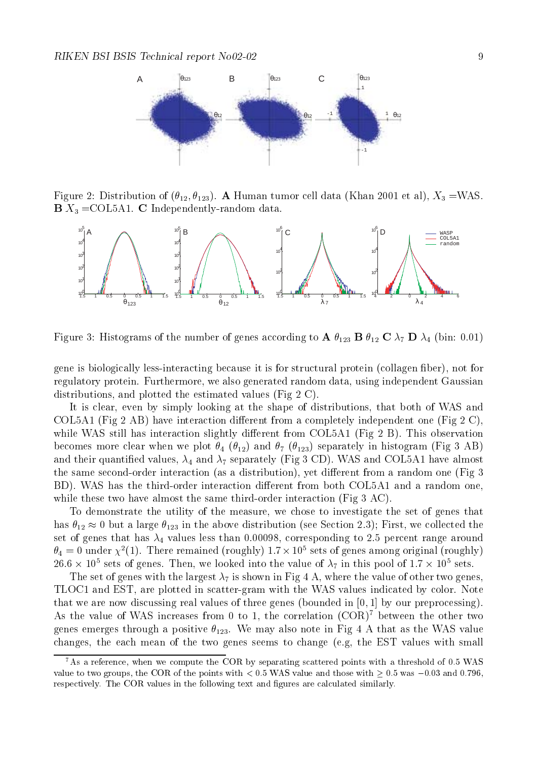

Figure 2. Distribution of  $(v_1), v_{123}$ . A Human tumor cen data (Khan 2001 et al), A3 = WAS.  $\mathcal{L} = \{ \mathcal{L} \}$  , and dependently represented to  $\mathcal{L}$ 



Figure Histograms of the number of genes according to A - <sup>B</sup> - <sup>C</sup> <sup>D</sup> bin - 

 $\mathbf n$  is biologically less interactions in the structural protein collagen  $\mathbf n$ regulatory protein- a determined random generation also generated delegated protein- and determined and distributions, and plotted the estimated values (Fig  $2 \text{ C}$ ).

It is clear, even by simply looking at the shape of distributions, that both of WAS and COL5A1 (Fig 2 AB) have interaction different from a completely independent one (Fig 2 C), while WAS still has interaction slightly different from COLA Fig.  $\mathcal{M} = \mathcal{M}$ becomes more crear when we prove  $\frac{1}{4}$  ( $\frac{1}{4}$ ) and  $\frac{1}{4}$  ( $\frac{1}{4}$ ) separately in histogram (r.g) and  $\frac{1}{4}$ and the separately figures in the separately Figures and  $\mu$  (and  $\sigma$  -  $\sigma$  -  $\mu$  ) where  $\mu$  and  $\sigma$  and  $\sigma$  and  $\sigma$  and  $\sigma$ the same second-order interaction (as a distribution), yet different from a random one (Fig  $3$ BD - WAS has the thirdorder interaction dierent from both COLA and a random one while these two have almost the same third-order interaction (Fig  $3 \text{ AC}$ ).

To demonstrate the utility of the measure, we chose to investigate the set of genes that has  $\theta_{12} \approx 0$  but a large  $\theta_{123}$  in the above distribution (see Section 2.3); First, we collected the set of genes that has no corresponding to a value of the second corresponding to a value  $\alpha$  -range around that  $\alpha$  $\theta_4 = 0$  under  $\chi^2(1)$ . There remained (roughly) 1.7  $\times$  10° sets of genes among original (roughly)  $26.6 \times 10^8$  sets of genes. Then, we looked into the value of  $\lambda_7$  in this pool of 1.7  $\times$  10° sets.

The set of genes with the largest  $\lambda_7$  is shown in Fig 4 A, where the value of other two genes. TLOC and EST are plotted in scattering in scattering in scattering indicated by color-stated by color-stated by colorthat we are now discussing real values of three genes (bounded in  $[0, 1]$  by our preprocessing). As the value of WAS increases from 0 to 1, the correlation  $(COR)^7$  between the other two genes emerges through a positive -- We may also note in Fig A that as the WAS value changes the each mean of the two genes seems to change e-qualus constructions with small

 $7$ As a reference, when we compute the COR by separating scattered points with a threshold of 0.5 WAS value to two groups; with a the points with a value and the those with with those with value  $\sim$  respectively. The COR values in the following text and figures are calculated similarly.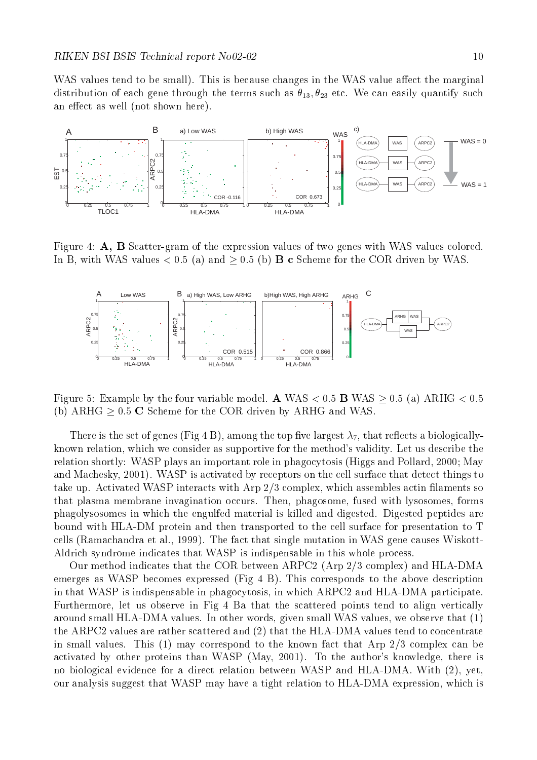where the small changes in the small  $\mu$  is because the matrix  $\mathbf{A}$  value  $\mathbf{A}$  value are matrix  $\mathbf{A}$  value at  $\mathbf{A}$ distribution of each gene through the terms such as  $\nu_{13},\nu_{23}$  etc. We can easily quantify such an effect as well (not shown here).



Figure 4:  $\mathbf{A}$ ,  $\mathbf{B}$  Scatter-gram of the expression values of two genes with WAS values colored. In B, with WAS values  $< 0.5$  (a) and  $\geq 0.5$  (b) **B** c Scheme for the COR driven by WAS.



Figure 5: Example by the four variable model. A WAS  $< 0.5$  B WAS  $\geq 0.5$  (a) ARHG  $< 0.5$ (b)  $ARHG \geq 0.5$  C Scheme for the COR driven by  $ARHG$  and WAS.

 $\tau$  is the set of genes  $\tau$  and  $\tau$  by  $\tau$  and the top is the top called a biologically known relation which we consider as supportive for the methods validity- Let us describe the relation shortly: WASP plays an important role in phagocytosis (Higgs and Pollard, 2000; May and Machesky 

 - WASP is activated by receptors on the cell surface that detect things to take up- Activated Waspart contracts with an experimental assembles with Arp and an extreme activated actin ac that plasma membrane invagination occurs- Then phagosome fused with lysosomes forms phagolysosomes in which the engulfed material is killed and digested- Digested peptides are bound with HLADM protein and then transported to the cell surface for presentation to T cells Ramachandra et al- i de fact that single mutation in Was gene causes Wiskott in Was der Aldrich syndrome indicates that WASP is indispensable in this whole process-

Our method indicates that the COR between ARPC2 (Arp  $2/3$  complex) and HLA-DMA emerges as WASP becomes expressed Fig. as WASP becomes experience of the above description of the above description in that WASP is indispensable in phagocytosis, in which ARPC2 and HLA-DMA participate. Furthermore, let us observe in Fig 4 Ba that the scattered points tend to align vertically around small have a round words given small was values we observe that we observe that  $\{ - \}$ the ARPC2 values are rather scattered and  $(2)$  that the HLA-DMA values tend to concentrate in small values- This may correspond to the known fact that Arp complex can be activated by other proteins than WASP May

 - To the authors knowledge there is no biological evidence for a direct relation between WASP and HLADMA- With yet our analysis suggest that WASP may have a tight relation to HLA-DMA expression, which is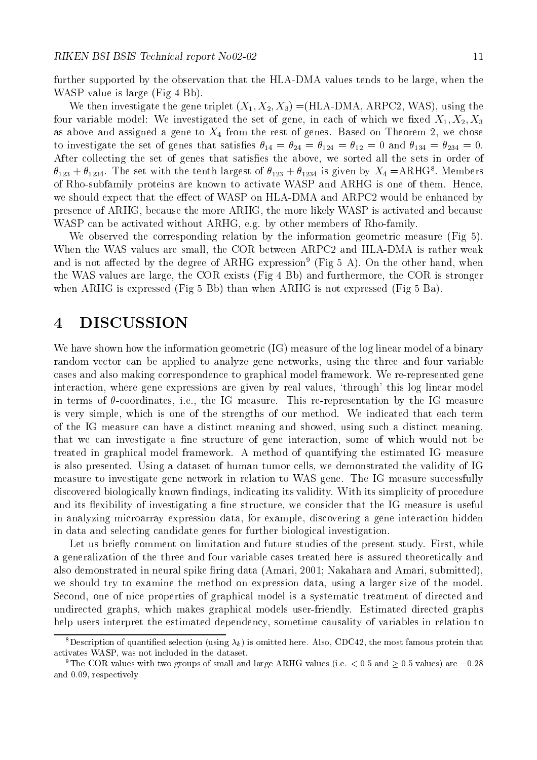further supported by the observation that the HLA-DMA values tends to be large, when the WASP value is large  $(Fig 4Bb)$ .

We then investigate the gene triplet  $(X_1, X_2, X_3) = (11111Y Y_1W_1X_1Y_1W_1W_2Y_2, W_1W_1Y_3, W_1W_2Y_3, W_1W_2Y_3, W_1W_2Y_3, W_1W_2Y_3, W_1W_2Y_3, W_1W_2Y_3, W_1W_2Y_3, W_1W_2Y_3, W_1W_2Y_3, W_1W_2Y_3, W_1W_2Y_3, W_1W_2Y_3, W_1W_2Y_3, W$ four variable model. We investigated the set of gene, in each of which we have  $X_1, X_2, X_3$ as above and assigned a generator of the rest of general massive chose method of all sections of the rest of t to investigate the set of general that satisfies in the satisfaction of  $14$  and  $14$  and  $104$  and  $104$  and  $107$  $\mathcal{A}$  , and satisfied all the above we sorted all the sets in order of  $\mathcal{A}$  $\sigma_{123} + \sigma_{1234}$ . The set with the tenth largest of  $\sigma_{123} + \sigma_{1234}$  is given by  $\Lambda_4 =$ AKHG . Members of Rhosubfamily proteins are known to activate WASP and ARHG is one of them- Hence we should expect that the effect of WASP on HLA-DMA and ARPC2 would be enhanced by presence of ARHG, because the more ARHG, the more likely WASP is activated and because was can be active and members of the canonical contract  $\alpha$  are members of  $\alpha$  and  $\alpha$ 

We observed the corresponding relation by the information geometric measure  $(Fig 5)$ . When the WAS values are small, the COR between ARPC2 and HLA-DMA is rather weak and is not anected by the degree of ARHG expression  $^{\circ}$  (Fig 5 A). On the other hand, when the WAS values are large, the COR exists  $(Fig 4 Bb)$  and furthermore, the COR is stronger when ARHG is expressed (Fig  $5$  Bb) than when ARHG is not expressed (Fig  $5$  Ba).

# DISCUSSION

We have shown how the information geometric (IG) measure of the log linear model of a binary random vector can be applied to analyze gene networks, using the three and four variable cases and also making correspondence to graphical model framework- We rerepresented gene interaction, where gene expressions are given by real values, 'through' this log linear model in terms of coordinates i-e- the IG measure- This rerepresentation by the IG measure is very simple which is one of the strengths of our method- We indicated that each term of the IG measure can have a distinct meaning and showed, using such a distinct meaning, that we can investigate a ne structure of gene interaction some of which would not be treated in graphical model framework- A method of quantifying the estimated IG measure is also presented- Using a dataset of human tumor cells we demonstrated the validity of IG measure to investigate gene network in relation to WAS gene- The IG measure successfully discovered biologically known ndings indicating its validity- With its simplicity of procedure and its existence of investigating a structure we consider that the IG measure is useful measure is useful measure is useful measure is useful measure is useful measure is useful measure is useful measure in the IG measur in analyzing microarray expression data, for example, discovering a gene interaction hidden in data and selecting candidate genes for further biological investigation-

Let us briey comment on limitation and future studies of the present study- First while a generalization of the three and four variable cases treated here is assured theoretically and also demonstrated in neural spike ring data Amari 

 Nakahara and Amari submitted we should try to examine the method on expression data, using a larger size of the model. Second, one of nice properties of graphical model is a systematic treatment of directed and  $\mathcal{L}$  . The matrix which makes graphs which models users users users users users users which are  $\mathcal{L}$  and  $\mathcal{L}$ help users interpret the estimated dependency, sometime causality of variables in relation to

<sup>&</sup>lt;sup>8</sup>Description of quantified selection (using  $\lambda_k$ ) is omitted here. Also, CDC42, the most famous protein that activates WASP
 was not included in the dataset

<sup>&</sup>lt;sup>9</sup>The COR values with two groups of small and large ARHG values (i.e.  $< 0.5$  and  $> 0.5$  values) are  $-0.28$ and 0.09, respectively.